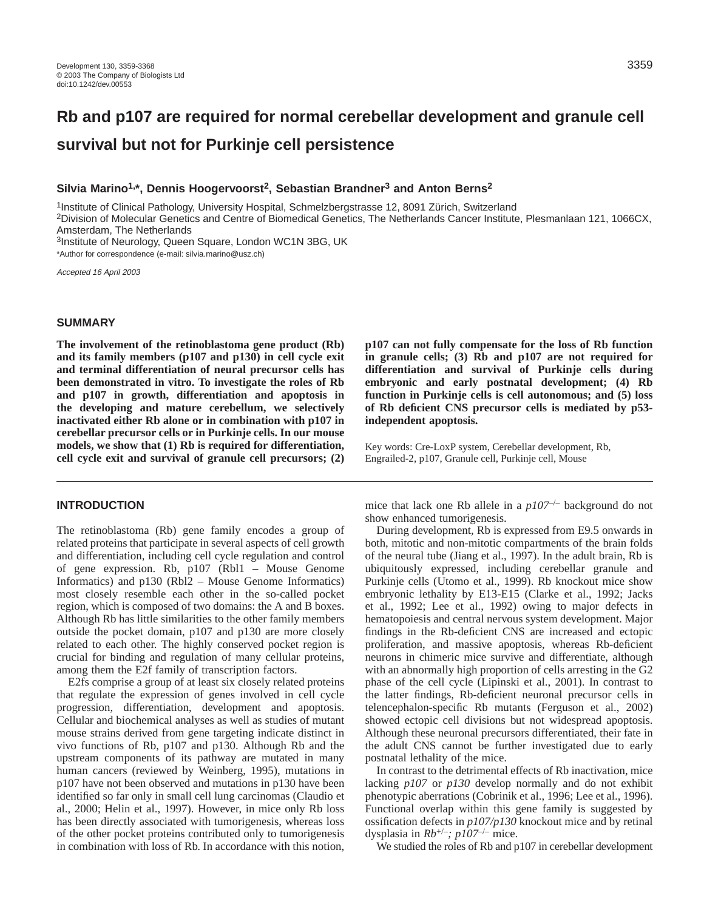# **Rb and p107 are required for normal cerebellar development and granule cell survival but not for Purkinje cell persistence**

## **Silvia Marino1,\*, Dennis Hoogervoorst2, Sebastian Brandner3 and Anton Berns2**

<sup>1</sup>Institute of Clinical Pathology, University Hospital, Schmelzbergstrasse 12, 8091 Zürich, Switzerland 2Division of Molecular Genetics and Centre of Biomedical Genetics, The Netherlands Cancer Institute, Plesmanlaan 121, 1066CX, Amsterdam, The Netherlands

3Institute of Neurology, Queen Square, London WC1N 3BG, UK \*Author for correspondence (e-mail: silvia.marino@usz.ch)

Accepted 16 April 2003

## **SUMMARY**

**The involvement of the retinoblastoma gene product (Rb) and its family members (p107 and p130) in cell cycle exit and terminal differentiation of neural precursor cells has been demonstrated in vitro. To investigate the roles of Rb and p107 in growth, differentiation and apoptosis in the developing and mature cerebellum, we selectively inactivated either Rb alone or in combination with p107 in cerebellar precursor cells or in Purkinje cells. In our mouse models, we show that (1) Rb is required for differentiation, cell cycle exit and survival of granule cell precursors; (2)**

## **INTRODUCTION**

The retinoblastoma (Rb) gene family encodes a group of related proteins that participate in several aspects of cell growth and differentiation, including cell cycle regulation and control of gene expression. Rb, p107 (Rbl1 – Mouse Genome Informatics) and p130 (Rbl2 – Mouse Genome Informatics) most closely resemble each other in the so-called pocket region, which is composed of two domains: the A and B boxes. Although Rb has little similarities to the other family members outside the pocket domain, p107 and p130 are more closely related to each other. The highly conserved pocket region is crucial for binding and regulation of many cellular proteins, among them the E2f family of transcription factors.

E2fs comprise a group of at least six closely related proteins that regulate the expression of genes involved in cell cycle progression, differentiation, development and apoptosis. Cellular and biochemical analyses as well as studies of mutant mouse strains derived from gene targeting indicate distinct in vivo functions of Rb, p107 and p130. Although Rb and the upstream components of its pathway are mutated in many human cancers (reviewed by Weinberg, 1995), mutations in p107 have not been observed and mutations in p130 have been identified so far only in small cell lung carcinomas (Claudio et al., 2000; Helin et al., 1997). However, in mice only Rb loss has been directly associated with tumorigenesis, whereas loss of the other pocket proteins contributed only to tumorigenesis in combination with loss of Rb. In accordance with this notion,

**p107 can not fully compensate for the loss of Rb function in granule cells; (3) Rb and p107 are not required for differentiation and survival of Purkinje cells during embryonic and early postnatal development; (4) Rb function in Purkinje cells is cell autonomous; and (5) loss of Rb deficient CNS precursor cells is mediated by p53 independent apoptosis.**

Key words: Cre-LoxP system, Cerebellar development, Rb, Engrailed-2, p107, Granule cell, Purkinje cell, Mouse

mice that lack one Rb allele in a *p107*–/– background do not show enhanced tumorigenesis.

During development, Rb is expressed from E9.5 onwards in both, mitotic and non-mitotic compartments of the brain folds of the neural tube (Jiang et al., 1997). In the adult brain, Rb is ubiquitously expressed, including cerebellar granule and Purkinje cells (Utomo et al., 1999). Rb knockout mice show embryonic lethality by E13-E15 (Clarke et al., 1992; Jacks et al., 1992; Lee et al., 1992) owing to major defects in hematopoiesis and central nervous system development. Major findings in the Rb-deficient CNS are increased and ectopic proliferation, and massive apoptosis, whereas Rb-deficient neurons in chimeric mice survive and differentiate, although with an abnormally high proportion of cells arresting in the G2 phase of the cell cycle (Lipinski et al., 2001). In contrast to the latter findings, Rb-deficient neuronal precursor cells in telencephalon-specific Rb mutants (Ferguson et al., 2002) showed ectopic cell divisions but not widespread apoptosis. Although these neuronal precursors differentiated, their fate in the adult CNS cannot be further investigated due to early postnatal lethality of the mice.

In contrast to the detrimental effects of Rb inactivation, mice lacking *p107* or *p130* develop normally and do not exhibit phenotypic aberrations (Cobrinik et al., 1996; Lee et al., 1996). Functional overlap within this gene family is suggested by ossification defects in *p107/p130* knockout mice and by retinal dysplasia in *Rb*+/–*; p107*–/– mice.

We studied the roles of Rb and p107 in cerebellar development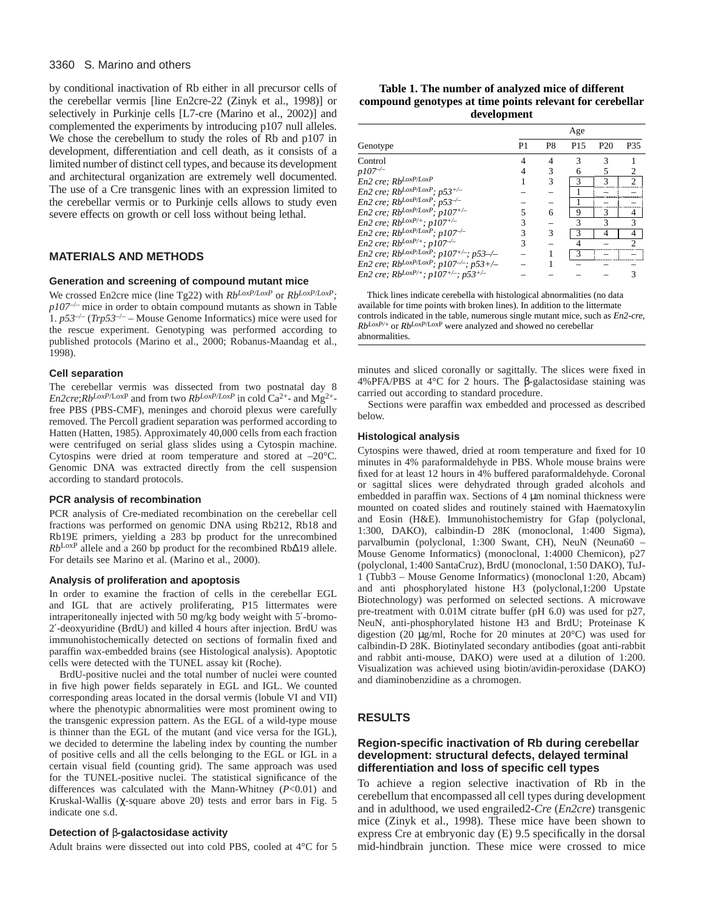#### 3360 S. Marino and others

by conditional inactivation of Rb either in all precursor cells of the cerebellar vermis [line En2cre-22 (Zinyk et al., 1998)] or selectively in Purkinje cells [L7-cre (Marino et al., 2002)] and complemented the experiments by introducing p107 null alleles. We chose the cerebellum to study the roles of Rb and p107 in development, differentiation and cell death, as it consists of a limited number of distinct cell types, and because its development and architectural organization are extremely well documented. The use of a Cre transgenic lines with an expression limited to the cerebellar vermis or to Purkinje cells allows to study even severe effects on growth or cell loss without being lethal.

## **MATERIALS AND METHODS**

#### **Generation and screening of compound mutant mice**

We crossed En2cre mice (line Tg22) with *RbLoxP/LoxP* or *RbLoxP/LoxP; p107*–/– mice in order to obtain compound mutants as shown in Table 1.  $p53^{-/-}$  (*Trp53<sup>-/–</sup>* – Mouse Genome Informatics) mice were used for the rescue experiment. Genotyping was performed according to published protocols (Marino et al., 2000; Robanus-Maandag et al., 1998).

#### **Cell separation**

The cerebellar vermis was dissected from two postnatal day 8 *En2cre*;*RbLoxP*/LoxP and from two *Rb*<sup>*LoxP*/*LoxP* in cold Ca<sup>2+</sup>- and Mg<sup>2+</sup>-</sup> free PBS (PBS-CMF), meninges and choroid plexus were carefully removed. The Percoll gradient separation was performed according to Hatten (Hatten, 1985). Approximately 40,000 cells from each fraction were centrifuged on serial glass slides using a Cytospin machine. Cytospins were dried at room temperature and stored at –20°C. Genomic DNA was extracted directly from the cell suspension according to standard protocols.

#### **PCR analysis of recombination**

PCR analysis of Cre-mediated recombination on the cerebellar cell fractions was performed on genomic DNA using Rb212, Rb18 and Rb19E primers, yielding a 283 bp product for the unrecombined *Rb*LoxP allele and a 260 bp product for the recombined Rb∆19 allele. For details see Marino et al. (Marino et al., 2000).

#### **Analysis of proliferation and apoptosis**

In order to examine the fraction of cells in the cerebellar EGL and IGL that are actively proliferating, P15 littermates were intraperitoneally injected with 50 mg/kg body weight with 5′-bromo-2′-deoxyuridine (BrdU) and killed 4 hours after injection. BrdU was immunohistochemically detected on sections of formalin fixed and paraffin wax-embedded brains (see Histological analysis). Apoptotic cells were detected with the TUNEL assay kit (Roche).

BrdU-positive nuclei and the total number of nuclei were counted in five high power fields separately in EGL and IGL. We counted corresponding areas located in the dorsal vermis (lobule VI and VII) where the phenotypic abnormalities were most prominent owing to the transgenic expression pattern. As the EGL of a wild-type mouse is thinner than the EGL of the mutant (and vice versa for the IGL), we decided to determine the labeling index by counting the number of positive cells and all the cells belonging to the EGL or IGL in a certain visual field (counting grid). The same approach was used for the TUNEL-positive nuclei. The statistical significance of the differences was calculated with the Mann-Whitney (*P*<0.01) and Kruskal-Wallis (χ-square above 20) tests and error bars in Fig. 5 indicate one s.d.

#### **Detection of** β**-galactosidase activity**

Adult brains were dissected out into cold PBS, cooled at 4°C for 5

| Table 1. The number of analyzed mice of different         |
|-----------------------------------------------------------|
| compound genotypes at time points relevant for cerebellar |
| development                                               |

|                                                                 | Age |                |                 |     |     |
|-----------------------------------------------------------------|-----|----------------|-----------------|-----|-----|
| Genotype                                                        | P1  | P <sub>8</sub> | P <sub>15</sub> | P20 | P35 |
| Control                                                         |     |                |                 |     |     |
| $p107^{-/-}$                                                    |     |                | 6               | 5   |     |
| En2 cre; RbLoxP/LoxP                                            |     | 3              | 3               | 3   | 2   |
| En2 cre; RbLoxP/LoxP; p53+/-                                    |     |                |                 |     |     |
| En2 cre; $Rb^{LoxP/LoxP}$ ; $p53^{-/-}$                         |     |                |                 |     |     |
| En2 cre; $Rb^{LoxP/LoxP}$ ; $p107^{+/}$                         |     | 6              | 9               | 3   |     |
| En2 cre; $Rb^{LoxP/+}$ ; $p107^{+/-}$                           |     |                | 3               | 3   | 3   |
| En2 cre; RbLoxP/LoxP; p107-/-                                   |     | 3              |                 |     |     |
| En2 cre; Rb <sup>LoxP/+</sup> ; p107 <sup>-/-</sup>             |     |                |                 |     |     |
| En2 cre; Rb <sup>LoxP/LoxP</sup> ; p107 <sup>+/-</sup> ; p53-/- |     |                |                 |     |     |
| En2 cre; RbLoxP/LoxP; p107-/-; p53+/-                           |     |                |                 |     |     |
| En2 cre; RbLoxP/+; p107+/-; p53+/-                              |     |                |                 |     |     |

Thick lines indicate cerebella with histological abnormalities (no data available for time points with broken lines). In addition to the littermate controls indicated in the table, numerous single mutant mice, such as *En2-cre, RbLoxP/+* or *RbLoxP*/LoxP were analyzed and showed no cerebellar abnormalities.

minutes and sliced coronally or sagittally. The slices were fixed in 4%PFA/PBS at 4°C for 2 hours. The β-galactosidase staining was carried out according to standard procedure.

Sections were paraffin wax embedded and processed as described below.

#### **Histological analysis**

Cytospins were thawed, dried at room temperature and fixed for 10 minutes in 4% paraformaldehyde in PBS. Whole mouse brains were fixed for at least 12 hours in 4% buffered paraformaldehyde. Coronal or sagittal slices were dehydrated through graded alcohols and embedded in paraffin wax. Sections of 4  $\mu$ m nominal thickness were mounted on coated slides and routinely stained with Haematoxylin and Eosin (H&E). Immunohistochemistry for Gfap (polyclonal, 1:300, DAKO), calbindin-D 28K (monoclonal, 1:400 Sigma), parvalbumin (polyclonal, 1:300 Swant, CH), NeuN (Neuna60 – Mouse Genome Informatics) (monoclonal, 1:4000 Chemicon), p27 (polyclonal, 1:400 SantaCruz), BrdU (monoclonal, 1:50 DAKO), TuJ-1 (Tubb3 – Mouse Genome Informatics) (monoclonal 1:20, Abcam) and anti phosphorylated histone H3 (polyclonal,1:200 Upstate Biotechnology) was performed on selected sections. A microwave pre-treatment with 0.01M citrate buffer (pH 6.0) was used for p27, NeuN, anti-phosphorylated histone H3 and BrdU; Proteinase K digestion (20 µg/ml, Roche for 20 minutes at 20°C) was used for calbindin-D 28K. Biotinylated secondary antibodies (goat anti-rabbit and rabbit anti-mouse, DAKO) were used at a dilution of 1:200. Visualization was achieved using biotin/avidin-peroxidase (DAKO) and diaminobenzidine as a chromogen.

## **RESULTS**

## **Region-specific inactivation of Rb during cerebellar development: structural defects, delayed terminal differentiation and loss of specific cell types**

To achieve a region selective inactivation of Rb in the cerebellum that encompassed all cell types during development and in adulthood, we used engrailed2-*Cre* (*En2cre*) transgenic mice (Zinyk et al., 1998). These mice have been shown to express Cre at embryonic day (E) 9.5 specifically in the dorsal mid-hindbrain junction. These mice were crossed to mice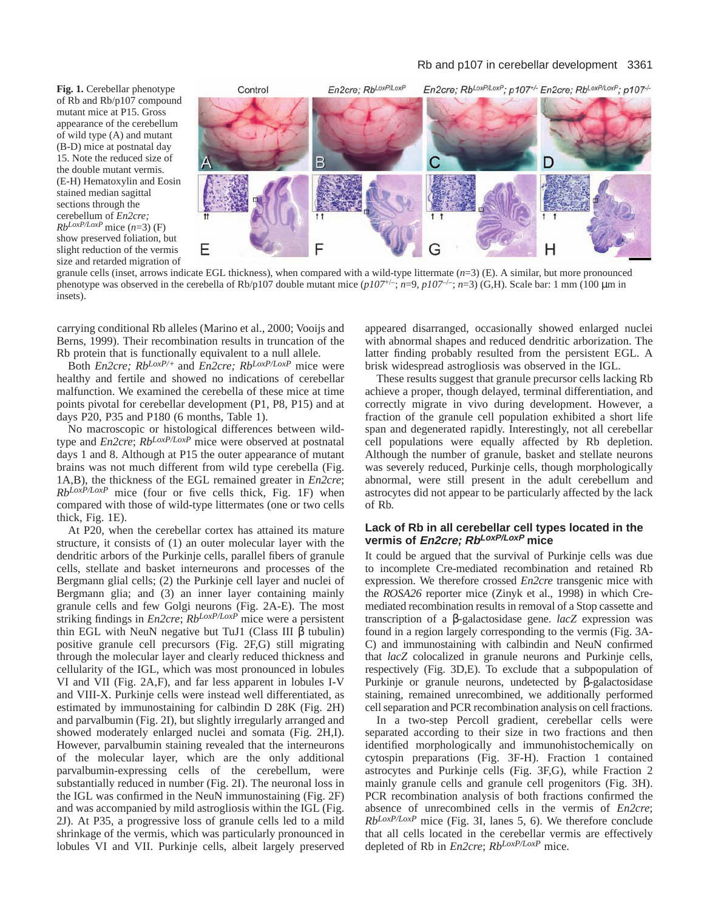**Fig. 1.** Cerebellar phenotype of Rb and Rb/p107 compound mutant mice at P15. Gross appearance of the cerebellum of wild type (A) and mutant (B-D) mice at postnatal day 15. Note the reduced size of the double mutant vermis. (E-H) Hematoxylin and Eosin stained median sagittal sections through the cerebellum of *En2cre; RbLoxP/LoxP* mice (*n*=3) (F) show preserved foliation, but slight reduction of the vermis size and retarded migration of



granule cells (inset, arrows indicate EGL thickness), when compared with a wild-type littermate (*n*=3) (E). A similar, but more pronounced phenotype was observed in the cerebella of Rb/p107 double mutant mice  $(p107^{+/}$ ;  $n=9$ ,  $p107^{+/}$ ;  $n=3$ ) (G,H). Scale bar: 1 mm (100 µm in insets).

carrying conditional Rb alleles (Marino et al., 2000; Vooijs and Berns, 1999). Their recombination results in truncation of the Rb protein that is functionally equivalent to a null allele.

Both *En2cre; RbLoxP/+* and *En2cre; RbLoxP/LoxP* mice were healthy and fertile and showed no indications of cerebellar malfunction. We examined the cerebella of these mice at time points pivotal for cerebellar development (P1, P8, P15) and at days P20, P35 and P180 (6 months, Table 1).

No macroscopic or histological differences between wildtype and *En2cre*; *RbLoxP/LoxP* mice were observed at postnatal days 1 and 8. Although at P15 the outer appearance of mutant brains was not much different from wild type cerebella (Fig. 1A,B), the thickness of the EGL remained greater in *En2cre*; *RbLoxP/LoxP* mice (four or five cells thick, Fig. 1F) when compared with those of wild-type littermates (one or two cells thick, Fig. 1E).

At P20, when the cerebellar cortex has attained its mature structure, it consists of (1) an outer molecular layer with the dendritic arbors of the Purkinje cells, parallel fibers of granule cells, stellate and basket interneurons and processes of the Bergmann glial cells; (2) the Purkinje cell layer and nuclei of Bergmann glia; and (3) an inner layer containing mainly granule cells and few Golgi neurons (Fig. 2A-E). The most striking findings in *En2cre*; *RbLoxP/LoxP* mice were a persistent thin EGL with NeuN negative but TuJ1 (Class III  $\beta$  tubulin) positive granule cell precursors (Fig. 2F,G) still migrating through the molecular layer and clearly reduced thickness and cellularity of the IGL, which was most pronounced in lobules VI and VII (Fig. 2A,F), and far less apparent in lobules I-V and VIII-X. Purkinje cells were instead well differentiated, as estimated by immunostaining for calbindin D 28K (Fig. 2H) and parvalbumin (Fig. 2I), but slightly irregularly arranged and showed moderately enlarged nuclei and somata (Fig. 2H,I). However, parvalbumin staining revealed that the interneurons of the molecular layer, which are the only additional parvalbumin-expressing cells of the cerebellum, were substantially reduced in number (Fig. 2I). The neuronal loss in the IGL was confirmed in the NeuN immunostaining (Fig. 2F) and was accompanied by mild astrogliosis within the IGL (Fig. 2J). At P35, a progressive loss of granule cells led to a mild shrinkage of the vermis, which was particularly pronounced in lobules VI and VII. Purkinje cells, albeit largely preserved

appeared disarranged, occasionally showed enlarged nuclei with abnormal shapes and reduced dendritic arborization. The latter finding probably resulted from the persistent EGL. A brisk widespread astrogliosis was observed in the IGL.

These results suggest that granule precursor cells lacking Rb achieve a proper, though delayed, terminal differentiation, and correctly migrate in vivo during development. However, a fraction of the granule cell population exhibited a short life span and degenerated rapidly. Interestingly, not all cerebellar cell populations were equally affected by Rb depletion. Although the number of granule, basket and stellate neurons was severely reduced, Purkinje cells, though morphologically abnormal, were still present in the adult cerebellum and astrocytes did not appear to be particularly affected by the lack of Rb.

## **Lack of Rb in all cerebellar cell types located in the vermis of En2cre; RbLoxP/LoxP mice**

It could be argued that the survival of Purkinje cells was due to incomplete Cre-mediated recombination and retained Rb expression. We therefore crossed *En2cre* transgenic mice with the *ROSA26* reporter mice (Zinyk et al., 1998) in which Cremediated recombination results in removal of a Stop cassette and transcription of a β-galactosidase gene. *lacZ* expression was found in a region largely corresponding to the vermis (Fig. 3A-C) and immunostaining with calbindin and NeuN confirmed that *lacZ* colocalized in granule neurons and Purkinje cells, respectively (Fig. 3D,E). To exclude that a subpopulation of Purkinje or granule neurons, undetected by β-galactosidase staining, remained unrecombined, we additionally performed cell separation and PCR recombination analysis on cell fractions.

In a two-step Percoll gradient, cerebellar cells were separated according to their size in two fractions and then identified morphologically and immunohistochemically on cytospin preparations (Fig. 3F-H). Fraction 1 contained astrocytes and Purkinje cells (Fig. 3F,G), while Fraction 2 mainly granule cells and granule cell progenitors (Fig. 3H). PCR recombination analysis of both fractions confirmed the absence of unrecombined cells in the vermis of *En2cre*; *RbLoxP/LoxP* mice (Fig. 3I, lanes 5, 6). We therefore conclude that all cells located in the cerebellar vermis are effectively depleted of Rb in *En2cre*; *RbLoxP/LoxP* mice.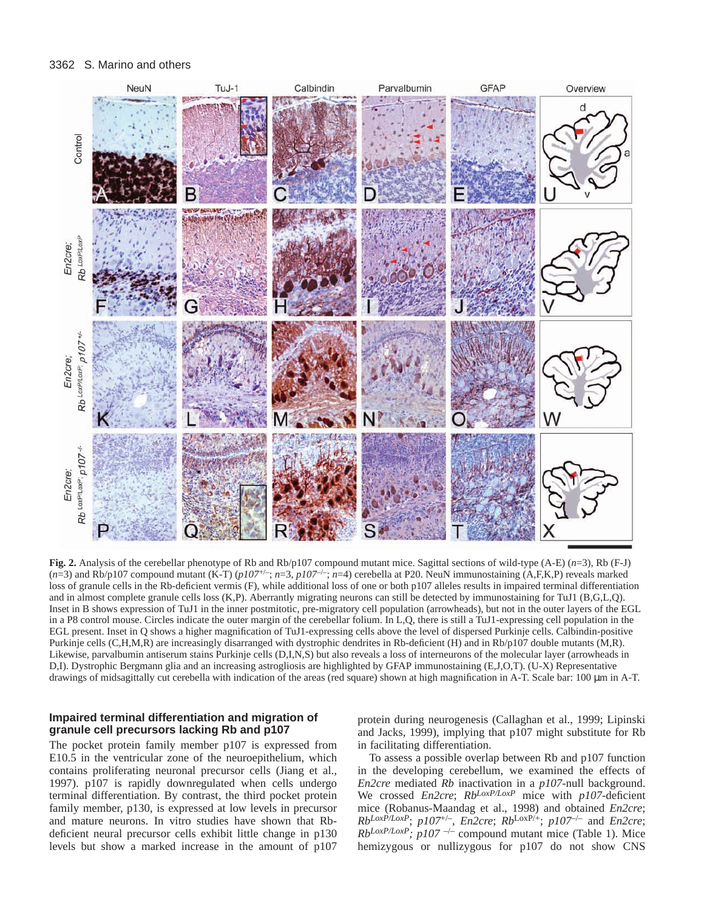#### 3362 S. Marino and others



**Fig. 2.** Analysis of the cerebellar phenotype of Rb and Rb/p107 compound mutant mice. Sagittal sections of wild-type (A-E) (*n*=3), Rb (F-J)  $(n=3)$  and Rb/p107 compound mutant (K-T)  $(p107^{+/}$ ;  $n=3$ ,  $p107^{+/}$ ;  $n=4$ ) cerebella at P20. NeuN immunostaining (A,F,K,P) reveals marked loss of granule cells in the Rb-deficient vermis (F), while additional loss of one or both p107 alleles results in impaired terminal differentiation and in almost complete granule cells loss (K,P). Aberrantly migrating neurons can still be detected by immunostaining for TuJ1 (B,G,L,Q). Inset in B shows expression of TuJ1 in the inner postmitotic, pre-migratory cell population (arrowheads), but not in the outer layers of the EGL in a P8 control mouse. Circles indicate the outer margin of the cerebellar folium. In L,Q, there is still a TuJ1-expressing cell population in the EGL present. Inset in Q shows a higher magnification of TuJ1-expressing cells above the level of dispersed Purkinje cells. Calbindin-positive Purkinje cells (C,H,M,R) are increasingly disarranged with dystrophic dendrites in Rb-deficient (H) and in Rb/p107 double mutants (M,R). Likewise, parvalbumin antiserum stains Purkinje cells (D,I,N,S) but also reveals a loss of interneurons of the molecular layer (arrowheads in D,I). Dystrophic Bergmann glia and an increasing astrogliosis are highlighted by GFAP immunostaining (E,J,O,T). (U-X) Representative drawings of midsagittally cut cerebella with indication of the areas (red square) shown at high magnification in A-T. Scale bar: 100  $\mu$ m in A-T.

## **Impaired terminal differentiation and migration of granule cell precursors lacking Rb and p107**

The pocket protein family member p107 is expressed from E10.5 in the ventricular zone of the neuroepithelium, which contains proliferating neuronal precursor cells (Jiang et al., 1997). p107 is rapidly downregulated when cells undergo terminal differentiation. By contrast, the third pocket protein family member, p130, is expressed at low levels in precursor and mature neurons. In vitro studies have shown that Rbdeficient neural precursor cells exhibit little change in p130 levels but show a marked increase in the amount of p107

protein during neurogenesis (Callaghan et al., 1999; Lipinski and Jacks, 1999), implying that p107 might substitute for Rb in facilitating differentiation.

To assess a possible overlap between Rb and p107 function in the developing cerebellum, we examined the effects of *En2cre* mediated *Rb* inactivation in a *p107*-null background. We crossed *En2cre*; *RbLoxP/LoxP* mice with *p107*-deficient mice (Robanus-Maandag et al., 1998) and obtained *En2cre*; *RbLoxP/LoxP*; *p107*+/–, *En2cre*; *Rb*LoxP/+; *p107*–/– and *En2cre*;  $Rb^{LoxP/LoxP}$ ;  $p107$ <sup>-/-</sup> compound mutant mice (Table 1). Mice hemizygous or nullizygous for p107 do not show CNS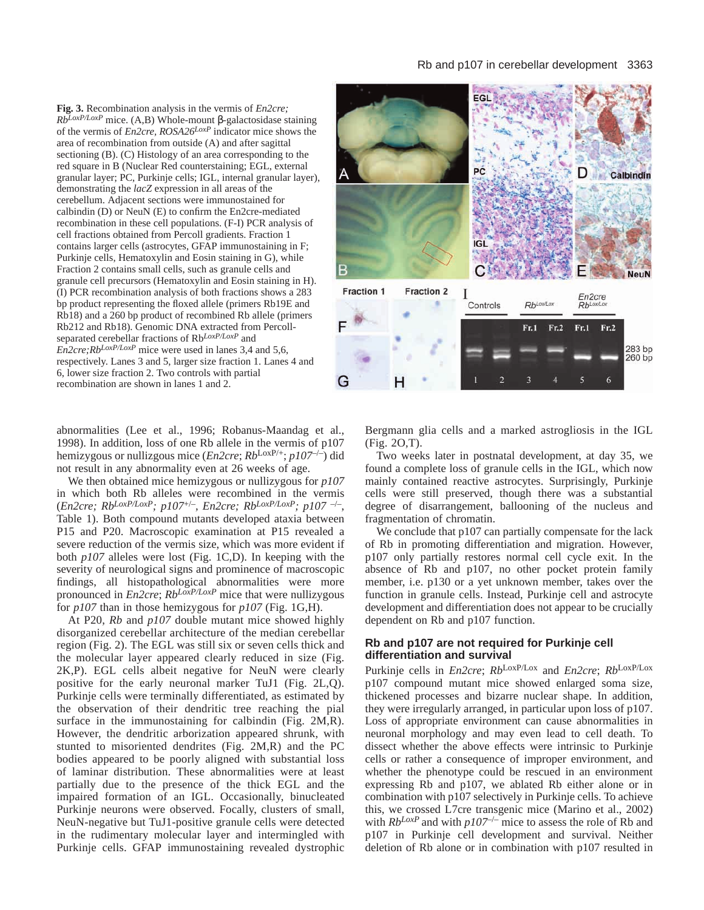**Fig. 3.** Recombination analysis in the vermis of *En2cre; RbLoxP/LoxP* mice. (A,B) Whole-mount β-galactosidase staining of the vermis of *En2cre, ROSA26LoxP* indicator mice shows the area of recombination from outside (A) and after sagittal sectioning (B). (C) Histology of an area corresponding to the red square in B (Nuclear Red counterstaining; EGL, external granular layer; PC, Purkinje cells; IGL, internal granular layer), demonstrating the *lacZ* expression in all areas of the cerebellum. Adjacent sections were immunostained for calbindin (D) or NeuN (E) to confirm the En2cre-mediated recombination in these cell populations. (F-I) PCR analysis of cell fractions obtained from Percoll gradients. Fraction 1 contains larger cells (astrocytes, GFAP immunostaining in F; Purkinje cells, Hematoxylin and Eosin staining in G), while Fraction 2 contains small cells, such as granule cells and granule cell precursors (Hematoxylin and Eosin staining in H). (I) PCR recombination analysis of both fractions shows a 283 bp product representing the floxed allele (primers Rb19E and Rb18) and a 260 bp product of recombined Rb allele (primers Rb212 and Rb18). Genomic DNA extracted from Percollseparated cerebellar fractions of Rb*LoxP/LoxP* and *En2cre;RbLoxP/LoxP* mice were used in lanes 3,4 and 5,6, respectively. Lanes 3 and 5, larger size fraction 1. Lanes 4 and 6, lower size fraction 2. Two controls with partial recombination are shown in lanes 1 and 2.

abnormalities (Lee et al., 1996; Robanus-Maandag et al., 1998). In addition, loss of one Rb allele in the vermis of p107 hemizygous or nullizgous mice (*En2cre*; *Rb*LoxP/+; *p107*–/–) did not result in any abnormality even at 26 weeks of age.

We then obtained mice hemizygous or nullizygous for *p107* in which both Rb alleles were recombined in the vermis (*En2cre; RbLoxP/LoxP; p107*+/–*, En2cre; RbLoxP/LoxP; p107* –/–, Table 1). Both compound mutants developed ataxia between P15 and P20. Macroscopic examination at P15 revealed a severe reduction of the vermis size, which was more evident if both *p107* alleles were lost (Fig. 1C,D). In keeping with the severity of neurological signs and prominence of macroscopic findings, all histopathological abnormalities were more pronounced in *En2cre*; *RbLoxP/LoxP* mice that were nullizygous for *p107* than in those hemizygous for *p107* (Fig. 1G,H).

At P20, *Rb* and *p107* double mutant mice showed highly disorganized cerebellar architecture of the median cerebellar region (Fig. 2). The EGL was still six or seven cells thick and the molecular layer appeared clearly reduced in size (Fig. 2K,P). EGL cells albeit negative for NeuN were clearly positive for the early neuronal marker TuJ1 (Fig. 2L,Q). Purkinje cells were terminally differentiated, as estimated by the observation of their dendritic tree reaching the pial surface in the immunostaining for calbindin (Fig. 2M,R). However, the dendritic arborization appeared shrunk, with stunted to misoriented dendrites (Fig. 2M,R) and the PC bodies appeared to be poorly aligned with substantial loss of laminar distribution. These abnormalities were at least partially due to the presence of the thick EGL and the impaired formation of an IGL. Occasionally, binucleated Purkinje neurons were observed. Focally, clusters of small, NeuN-negative but TuJ1-positive granule cells were detected in the rudimentary molecular layer and intermingled with Purkinje cells. GFAP immunostaining revealed dystrophic



Bergmann glia cells and a marked astrogliosis in the IGL (Fig. 2O,T).

Two weeks later in postnatal development, at day 35, we found a complete loss of granule cells in the IGL, which now mainly contained reactive astrocytes. Surprisingly, Purkinje cells were still preserved, though there was a substantial degree of disarrangement, ballooning of the nucleus and fragmentation of chromatin.

We conclude that p107 can partially compensate for the lack of Rb in promoting differentiation and migration. However, p107 only partially restores normal cell cycle exit. In the absence of Rb and p107, no other pocket protein family member, i.e. p130 or a yet unknown member, takes over the function in granule cells. Instead, Purkinje cell and astrocyte development and differentiation does not appear to be crucially dependent on Rb and p107 function.

#### **Rb and p107 are not required for Purkinje cell differentiation and survival**

Purkinje cells in *En2cre*; *Rb*LoxP/Lox and *En2cre*; *Rb*LoxP/Lox p107 compound mutant mice showed enlarged soma size, thickened processes and bizarre nuclear shape. In addition, they were irregularly arranged, in particular upon loss of p107. Loss of appropriate environment can cause abnormalities in neuronal morphology and may even lead to cell death. To dissect whether the above effects were intrinsic to Purkinje cells or rather a consequence of improper environment, and whether the phenotype could be rescued in an environment expressing Rb and p107, we ablated Rb either alone or in combination with p107 selectively in Purkinje cells. To achieve this, we crossed L7cre transgenic mice (Marino et al., 2002) with  $Rb^{LoxP}$  and with  $p107^{-/-}$  mice to assess the role of Rb and p107 in Purkinje cell development and survival. Neither deletion of Rb alone or in combination with p107 resulted in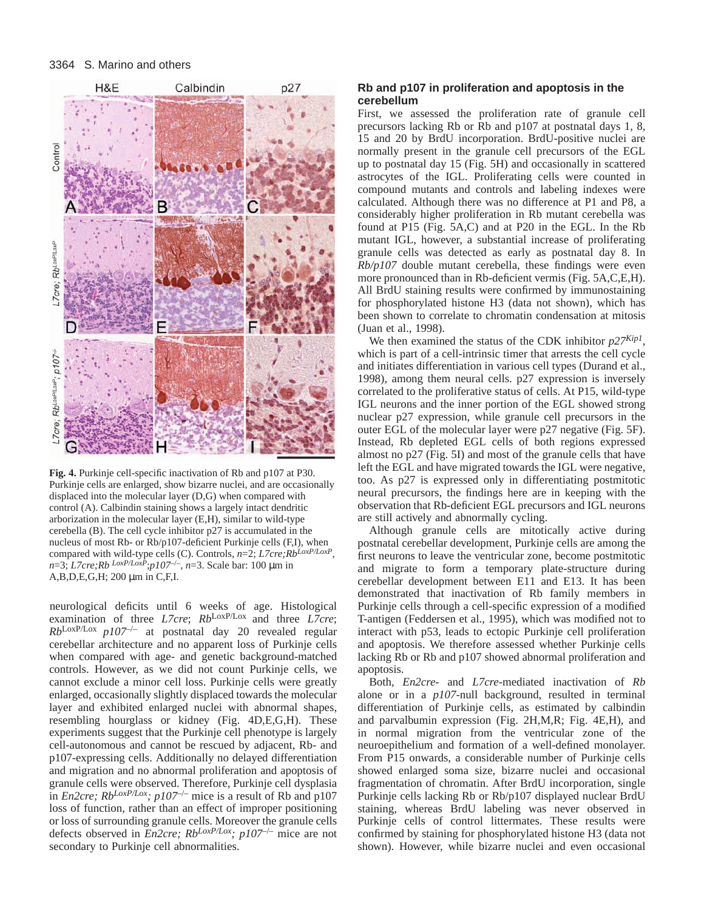

**Fig. 4.** Purkinje cell-specific inactivation of Rb and p107 at P30. Purkinje cells are enlarged, show bizarre nuclei, and are occasionally displaced into the molecular layer (D,G) when compared with control (A). Calbindin staining shows a largely intact dendritic arborization in the molecular layer (E,H), similar to wild-type cerebella (B). The cell cycle inhibitor p27 is accumulated in the nucleus of most Rb- or Rb/p107-deficient Purkinje cells (F,I), when compared with wild-type cells (C). Controls, *n*=2; *L7cre;RbLoxP/LoxP*, *n*=3; *L7cre;Rb LoxP/LoxP*;*p107*–/–, *n*=3. Scale bar: 100 µm in A,B,D,E,G,H; 200 µm in C,F,I.

neurological deficits until 6 weeks of age. Histological examination of three *L7cre*; *Rb*LoxP/Lox and three *L7cre*; *Rb*LoxP/Lox *p107*–/– at postnatal day 20 revealed regular cerebellar architecture and no apparent loss of Purkinje cells when compared with age- and genetic background-matched controls. However, as we did not count Purkinje cells, we cannot exclude a minor cell loss. Purkinje cells were greatly enlarged, occasionally slightly displaced towards the molecular layer and exhibited enlarged nuclei with abnormal shapes, resembling hourglass or kidney (Fig. 4D,E,G,H). These experiments suggest that the Purkinje cell phenotype is largely cell-autonomous and cannot be rescued by adjacent, Rb- and p107-expressing cells. Additionally no delayed differentiation and migration and no abnormal proliferation and apoptosis of granule cells were observed. Therefore, Purkinje cell dysplasia in *En2cre; RbLoxP/Lox; p107*–/– mice is a result of Rb and p107 loss of function, rather than an effect of improper positioning or loss of surrounding granule cells. Moreover the granule cells defects observed in *En2cre; RbLoxP/Lox; p107*–/– mice are not secondary to Purkinje cell abnormalities.

## **Rb and p107 in proliferation and apoptosis in the cerebellum**

First, we assessed the proliferation rate of granule cell precursors lacking Rb or Rb and p107 at postnatal days 1, 8, 15 and 20 by BrdU incorporation. BrdU-positive nuclei are normally present in the granule cell precursors of the EGL up to postnatal day 15 (Fig. 5H) and occasionally in scattered astrocytes of the IGL. Proliferating cells were counted in compound mutants and controls and labeling indexes were calculated. Although there was no difference at P1 and P8, a considerably higher proliferation in Rb mutant cerebella was found at P15 (Fig. 5A,C) and at P20 in the EGL. In the Rb mutant IGL, however, a substantial increase of proliferating granule cells was detected as early as postnatal day 8. In *Rb/p107* double mutant cerebella, these findings were even more pronounced than in Rb-deficient vermis (Fig. 5A,C,E,H). All BrdU staining results were confirmed by immunostaining for phosphorylated histone H3 (data not shown), which has been shown to correlate to chromatin condensation at mitosis (Juan et al., 1998).

We then examined the status of the CDK inhibitor *p27Kip1*, which is part of a cell-intrinsic timer that arrests the cell cycle and initiates differentiation in various cell types (Durand et al., 1998), among them neural cells. p27 expression is inversely correlated to the proliferative status of cells. At P15, wild-type IGL neurons and the inner portion of the EGL showed strong nuclear p27 expression, while granule cell precursors in the outer EGL of the molecular layer were p27 negative (Fig. 5F). Instead, Rb depleted EGL cells of both regions expressed almost no p27 (Fig. 5I) and most of the granule cells that have left the EGL and have migrated towards the IGL were negative, too. As p27 is expressed only in differentiating postmitotic neural precursors, the findings here are in keeping with the observation that Rb-deficient EGL precursors and IGL neurons are still actively and abnormally cycling.

Although granule cells are mitotically active during postnatal cerebellar development, Purkinje cells are among the first neurons to leave the ventricular zone, become postmitotic and migrate to form a temporary plate-structure during cerebellar development between E11 and E13. It has been demonstrated that inactivation of Rb family members in Purkinje cells through a cell-specific expression of a modified T-antigen (Feddersen et al., 1995), which was modified not to interact with p53, leads to ectopic Purkinje cell proliferation and apoptosis. We therefore assessed whether Purkinje cells lacking Rb or Rb and p107 showed abnormal proliferation and apoptosis.

Both, *En2cre*- and *L7cre*-mediated inactivation of *Rb* alone or in a *p107*-null background, resulted in terminal differentiation of Purkinje cells, as estimated by calbindin and parvalbumin expression (Fig. 2H,M,R; Fig. 4E,H), and in normal migration from the ventricular zone of the neuroepithelium and formation of a well-defined monolayer. From P15 onwards, a considerable number of Purkinje cells showed enlarged soma size, bizarre nuclei and occasional fragmentation of chromatin. After BrdU incorporation, single Purkinje cells lacking Rb or Rb/p107 displayed nuclear BrdU staining, whereas BrdU labeling was never observed in Purkinje cells of control littermates. These results were confirmed by staining for phosphorylated histone H3 (data not shown). However, while bizarre nuclei and even occasional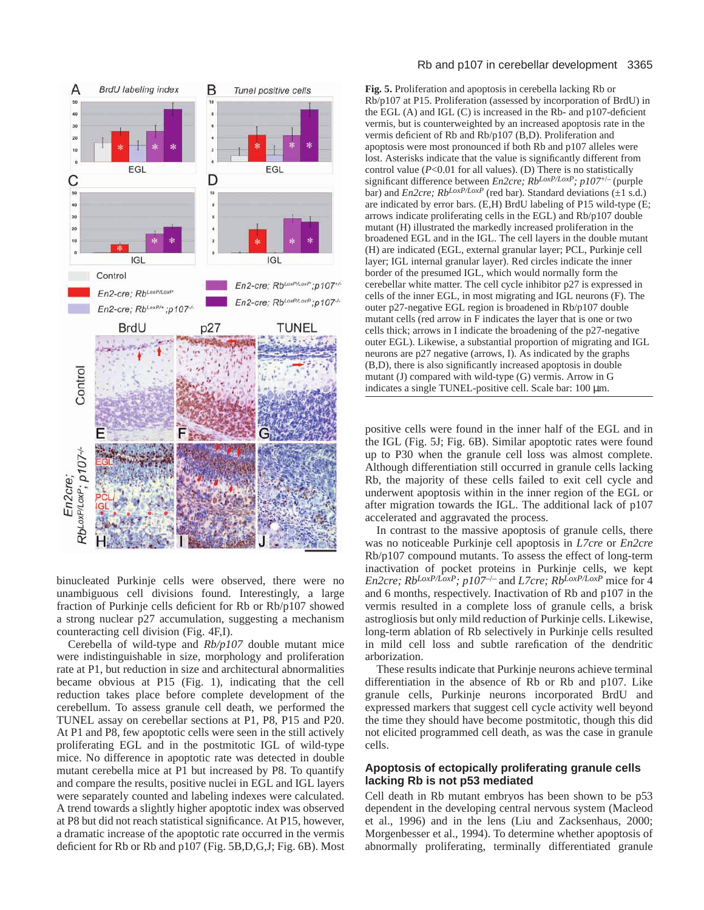

binucleated Purkinje cells were observed, there were no unambiguous cell divisions found. Interestingly, a large fraction of Purkinje cells deficient for Rb or Rb/p107 showed a strong nuclear p27 accumulation, suggesting a mechanism counteracting cell division (Fig. 4F,I).

Cerebella of wild-type and *Rb/p107* double mutant mice were indistinguishable in size, morphology and proliferation rate at P1, but reduction in size and architectural abnormalities became obvious at P15 (Fig. 1), indicating that the cell reduction takes place before complete development of the cerebellum. To assess granule cell death, we performed the TUNEL assay on cerebellar sections at P1, P8, P15 and P20. At P1 and P8, few apoptotic cells were seen in the still actively proliferating EGL and in the postmitotic IGL of wild-type mice. No difference in apoptotic rate was detected in double mutant cerebella mice at P1 but increased by P8. To quantify and compare the results, positive nuclei in EGL and IGL layers were separately counted and labeling indexes were calculated. A trend towards a slightly higher apoptotic index was observed at P8 but did not reach statistical significance. At P15, however, a dramatic increase of the apoptotic rate occurred in the vermis deficient for Rb or Rb and p107 (Fig. 5B,D,G,J; Fig. 6B). Most

#### Rb and p107 in cerebellar development 3365

**Fig. 5.** Proliferation and apoptosis in cerebella lacking Rb or Rb/p107 at P15. Proliferation (assessed by incorporation of BrdU) in the EGL (A) and IGL (C) is increased in the Rb- and p107-deficient vermis, but is counterweighted by an increased apoptosis rate in the vermis deficient of Rb and Rb/p107 (B,D). Proliferation and apoptosis were most pronounced if both Rb and p107 alleles were lost. Asterisks indicate that the value is significantly different from control value ( $P < 0.01$  for all values). (D) There is no statistically significant difference between *En2cre; RbLoxP/LoxP; p107*+/– (purple bar) and *En2cre; Rb*<sup>LoxP/LoxP</sup> (red bar). Standard deviations  $(\pm 1 \text{ s.d.})$ are indicated by error bars. (E,H) BrdU labeling of P15 wild-type (E; arrows indicate proliferating cells in the EGL) and Rb/p107 double mutant (H) illustrated the markedly increased proliferation in the broadened EGL and in the IGL. The cell layers in the double mutant (H) are indicated (EGL, external granular layer; PCL, Purkinje cell layer; IGL internal granular layer). Red circles indicate the inner border of the presumed IGL, which would normally form the cerebellar white matter. The cell cycle inhibitor p27 is expressed in cells of the inner EGL, in most migrating and IGL neurons (F). The outer p27-negative EGL region is broadened in Rb/p107 double mutant cells (red arrow in F indicates the layer that is one or two cells thick; arrows in I indicate the broadening of the p27-negative outer EGL). Likewise, a substantial proportion of migrating and IGL neurons are p27 negative (arrows, I). As indicated by the graphs (B,D), there is also significantly increased apoptosis in double mutant (J) compared with wild-type (G) vermis. Arrow in G indicates a single TUNEL-positive cell. Scale bar: 100  $\mu$ m.

positive cells were found in the inner half of the EGL and in the IGL (Fig. 5J; Fig. 6B). Similar apoptotic rates were found up to P30 when the granule cell loss was almost complete. Although differentiation still occurred in granule cells lacking Rb, the majority of these cells failed to exit cell cycle and underwent apoptosis within in the inner region of the EGL or after migration towards the IGL. The additional lack of p107 accelerated and aggravated the process.

In contrast to the massive apoptosis of granule cells, there was no noticeable Purkinje cell apoptosis in *L7cre* or *En2cre* Rb/p107 compound mutants. To assess the effect of long-term inactivation of pocket proteins in Purkinje cells, we kept *En2cre; RbLoxP/LoxP; p107*–/– and *L7cre; RbLoxP/LoxP* mice for 4 and 6 months, respectively. Inactivation of Rb and p107 in the vermis resulted in a complete loss of granule cells, a brisk astrogliosis but only mild reduction of Purkinje cells. Likewise, long-term ablation of Rb selectively in Purkinje cells resulted in mild cell loss and subtle rarefication of the dendritic arborization.

These results indicate that Purkinje neurons achieve terminal differentiation in the absence of Rb or Rb and p107. Like granule cells, Purkinje neurons incorporated BrdU and expressed markers that suggest cell cycle activity well beyond the time they should have become postmitotic, though this did not elicited programmed cell death, as was the case in granule cells.

# **Apoptosis of ectopically proliferating granule cells lacking Rb is not p53 mediated**

Cell death in Rb mutant embryos has been shown to be p53 dependent in the developing central nervous system (Macleod et al., 1996) and in the lens (Liu and Zacksenhaus, 2000; Morgenbesser et al., 1994). To determine whether apoptosis of abnormally proliferating, terminally differentiated granule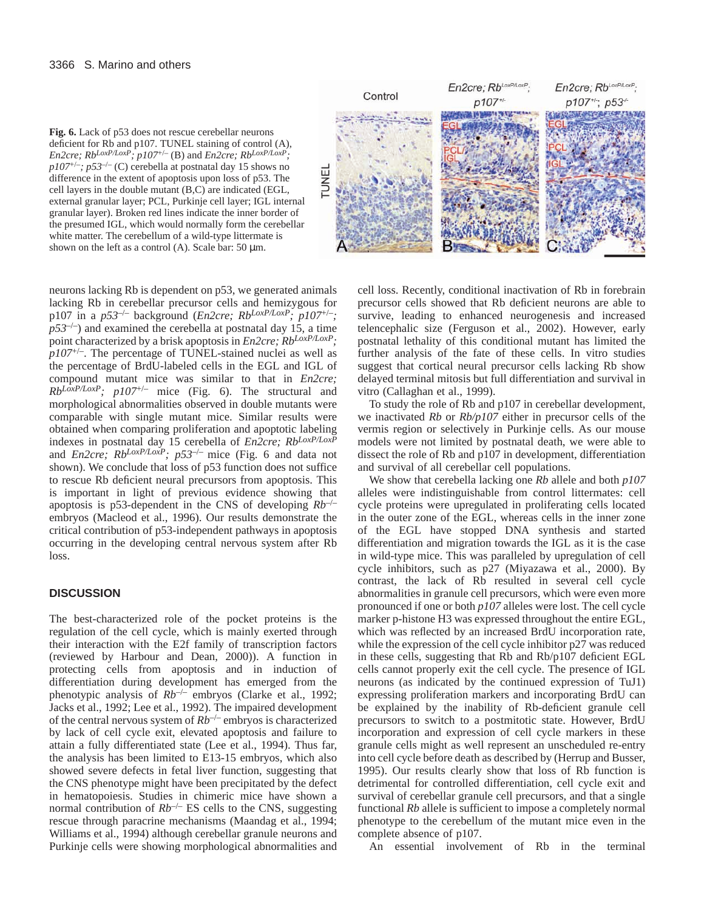

neurons lacking Rb is dependent on p53, we generated animals lacking Rb in cerebellar precursor cells and hemizygous for p107 in a  $p53^{-/-}$  background (*En2cre; Rb*<sup>LoxP</sup>/LoxP</sup>; p107<sup>+/-</sup>;  $p53^{-/-}$ ) and examined the cerebella at postnatal day 15, a time point characterized by a brisk apoptosis in *En2cre; RbLoxP/LoxP; p107*+/–. The percentage of TUNEL-stained nuclei as well as the percentage of BrdU-labeled cells in the EGL and IGL of compound mutant mice was similar to that in *En2cre;*  $Rb^{LoxP/LoxP}$ ;  $p107^{+/}$  mice (Fig. 6). The structural and morphological abnormalities observed in double mutants were comparable with single mutant mice. Similar results were obtained when comparing proliferation and apoptotic labeling indexes in postnatal day 15 cerebella of *En2cre; RbLoxP/LoxP* and *En2cre; RbLoxP/LoxP; p53*–/– mice (Fig. 6 and data not shown). We conclude that loss of p53 function does not suffice to rescue Rb deficient neural precursors from apoptosis. This is important in light of previous evidence showing that apoptosis is p53-dependent in the CNS of developing *Rb*–/– embryos (Macleod et al., 1996). Our results demonstrate the critical contribution of p53-independent pathways in apoptosis occurring in the developing central nervous system after Rb loss.

# **DISCUSSION**

The best-characterized role of the pocket proteins is the regulation of the cell cycle, which is mainly exerted through their interaction with the E2f family of transcription factors (reviewed by Harbour and Dean, 2000)). A function in protecting cells from apoptosis and in induction of differentiation during development has emerged from the phenotypic analysis of *Rb*–/– embryos (Clarke et al., 1992; Jacks et al., 1992; Lee et al., 1992). The impaired development of the central nervous system of *Rb*–/– embryos is characterized by lack of cell cycle exit, elevated apoptosis and failure to attain a fully differentiated state (Lee et al., 1994). Thus far, the analysis has been limited to E13-15 embryos, which also showed severe defects in fetal liver function, suggesting that the CNS phenotype might have been precipitated by the defect in hematopoiesis. Studies in chimeric mice have shown a normal contribution of  $Rb^{-/-}$  ES cells to the CNS, suggesting rescue through paracrine mechanisms (Maandag et al., 1994; Williams et al., 1994) although cerebellar granule neurons and Purkinje cells were showing morphological abnormalities and



cell loss. Recently, conditional inactivation of Rb in forebrain precursor cells showed that Rb deficient neurons are able to survive, leading to enhanced neurogenesis and increased telencephalic size (Ferguson et al., 2002). However, early postnatal lethality of this conditional mutant has limited the further analysis of the fate of these cells. In vitro studies suggest that cortical neural precursor cells lacking Rb show delayed terminal mitosis but full differentiation and survival in vitro (Callaghan et al., 1999).

To study the role of Rb and p107 in cerebellar development, we inactivated *Rb* or *Rb/p107* either in precursor cells of the vermis region or selectively in Purkinje cells. As our mouse models were not limited by postnatal death, we were able to dissect the role of Rb and p107 in development, differentiation and survival of all cerebellar cell populations.

We show that cerebella lacking one *Rb* allele and both *p107* alleles were indistinguishable from control littermates: cell cycle proteins were upregulated in proliferating cells located in the outer zone of the EGL, whereas cells in the inner zone of the EGL have stopped DNA synthesis and started differentiation and migration towards the IGL as it is the case in wild-type mice. This was paralleled by upregulation of cell cycle inhibitors, such as p27 (Miyazawa et al., 2000). By contrast, the lack of Rb resulted in several cell cycle abnormalities in granule cell precursors, which were even more pronounced if one or both *p107* alleles were lost. The cell cycle marker p-histone H3 was expressed throughout the entire EGL, which was reflected by an increased BrdU incorporation rate, while the expression of the cell cycle inhibitor p27 was reduced in these cells, suggesting that Rb and Rb/p107 deficient EGL cells cannot properly exit the cell cycle. The presence of IGL neurons (as indicated by the continued expression of TuJ1) expressing proliferation markers and incorporating BrdU can be explained by the inability of Rb-deficient granule cell precursors to switch to a postmitotic state. However, BrdU incorporation and expression of cell cycle markers in these granule cells might as well represent an unscheduled re-entry into cell cycle before death as described by (Herrup and Busser, 1995). Our results clearly show that loss of Rb function is detrimental for controlled differentiation, cell cycle exit and survival of cerebellar granule cell precursors, and that a single functional *Rb* allele is sufficient to impose a completely normal phenotype to the cerebellum of the mutant mice even in the complete absence of p107.

An essential involvement of Rb in the terminal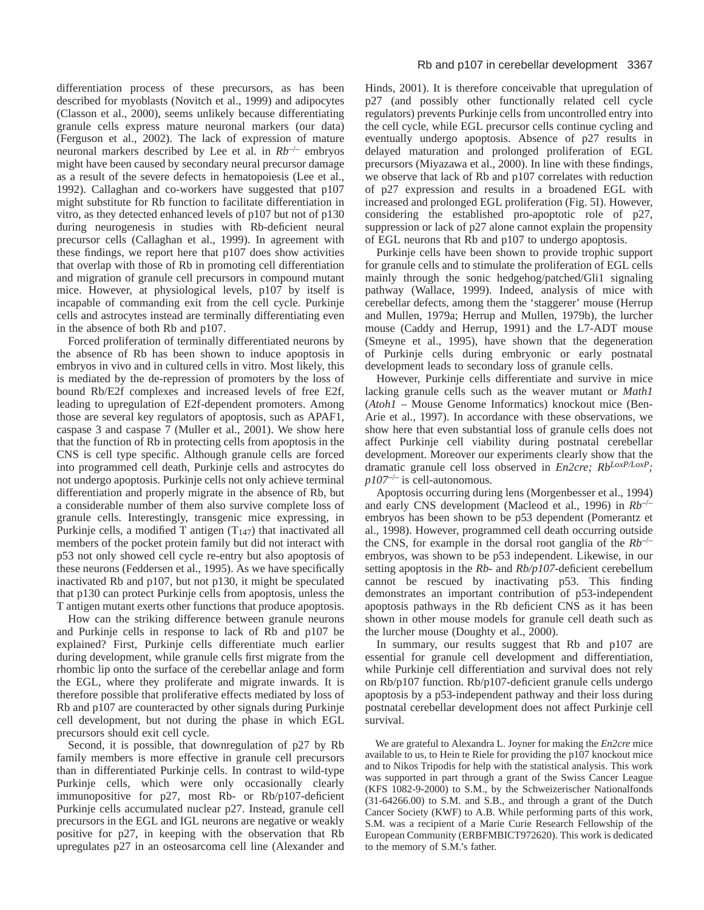differentiation process of these precursors, as has been described for myoblasts (Novitch et al., 1999) and adipocytes (Classon et al., 2000), seems unlikely because differentiating granule cells express mature neuronal markers (our data) (Ferguson et al., 2002). The lack of expression of mature neuronal markers described by Lee et al. in *Rb*–/– embryos might have been caused by secondary neural precursor damage as a result of the severe defects in hematopoiesis (Lee et al., 1992). Callaghan and co-workers have suggested that p107 might substitute for Rb function to facilitate differentiation in vitro, as they detected enhanced levels of p107 but not of p130 during neurogenesis in studies with Rb-deficient neural precursor cells (Callaghan et al., 1999). In agreement with these findings, we report here that p107 does show activities that overlap with those of Rb in promoting cell differentiation and migration of granule cell precursors in compound mutant mice. However, at physiological levels, p107 by itself is incapable of commanding exit from the cell cycle. Purkinje cells and astrocytes instead are terminally differentiating even in the absence of both Rb and p107.

Forced proliferation of terminally differentiated neurons by the absence of Rb has been shown to induce apoptosis in embryos in vivo and in cultured cells in vitro. Most likely, this is mediated by the de-repression of promoters by the loss of bound Rb/E2f complexes and increased levels of free E2f, leading to upregulation of E2f-dependent promoters. Among those are several key regulators of apoptosis, such as APAF1, caspase 3 and caspase 7 (Muller et al., 2001). We show here that the function of Rb in protecting cells from apoptosis in the CNS is cell type specific. Although granule cells are forced into programmed cell death, Purkinje cells and astrocytes do not undergo apoptosis. Purkinje cells not only achieve terminal differentiation and properly migrate in the absence of Rb, but a considerable number of them also survive complete loss of granule cells. Interestingly, transgenic mice expressing, in Purkinje cells, a modified T antigen  $(T_{147})$  that inactivated all members of the pocket protein family but did not interact with p53 not only showed cell cycle re-entry but also apoptosis of these neurons (Feddersen et al., 1995). As we have specifically inactivated Rb and p107, but not p130, it might be speculated that p130 can protect Purkinje cells from apoptosis, unless the T antigen mutant exerts other functions that produce apoptosis.

How can the striking difference between granule neurons and Purkinje cells in response to lack of Rb and p107 be explained? First, Purkinje cells differentiate much earlier during development, while granule cells first migrate from the rhombic lip onto the surface of the cerebellar anlage and form the EGL, where they proliferate and migrate inwards. It is therefore possible that proliferative effects mediated by loss of Rb and p107 are counteracted by other signals during Purkinje cell development, but not during the phase in which EGL precursors should exit cell cycle.

Second, it is possible, that downregulation of p27 by Rb family members is more effective in granule cell precursors than in differentiated Purkinje cells. In contrast to wild-type Purkinje cells, which were only occasionally clearly immunopositive for p27, most Rb- or Rb/p107-deficient Purkinje cells accumulated nuclear p27. Instead, granule cell precursors in the EGL and IGL neurons are negative or weakly positive for p27, in keeping with the observation that Rb upregulates p27 in an osteosarcoma cell line (Alexander and

Hinds, 2001). It is therefore conceivable that upregulation of p27 (and possibly other functionally related cell cycle regulators) prevents Purkinje cells from uncontrolled entry into the cell cycle, while EGL precursor cells continue cycling and eventually undergo apoptosis. Absence of p27 results in delayed maturation and prolonged proliferation of EGL precursors (Miyazawa et al., 2000). In line with these findings, we observe that lack of Rb and p107 correlates with reduction of p27 expression and results in a broadened EGL with increased and prolonged EGL proliferation (Fig. 5I). However, considering the established pro-apoptotic role of p27, suppression or lack of p27 alone cannot explain the propensity of EGL neurons that Rb and p107 to undergo apoptosis.

Purkinje cells have been shown to provide trophic support for granule cells and to stimulate the proliferation of EGL cells mainly through the sonic hedgehog/patched/Gli1 signaling pathway (Wallace, 1999). Indeed, analysis of mice with cerebellar defects, among them the 'staggerer' mouse (Herrup and Mullen, 1979a; Herrup and Mullen, 1979b), the lurcher mouse (Caddy and Herrup, 1991) and the L7-ADT mouse (Smeyne et al., 1995), have shown that the degeneration of Purkinje cells during embryonic or early postnatal development leads to secondary loss of granule cells.

However, Purkinje cells differentiate and survive in mice lacking granule cells such as the weaver mutant or *Math1* (*Atoh1* – Mouse Genome Informatics) knockout mice (Ben-Arie et al., 1997). In accordance with these observations, we show here that even substantial loss of granule cells does not affect Purkinje cell viability during postnatal cerebellar development. Moreover our experiments clearly show that the dramatic granule cell loss observed in *En2cre; RbLoxP/LoxP; p107*–/– is cell-autonomous.

Apoptosis occurring during lens (Morgenbesser et al., 1994) and early CNS development (Macleod et al., 1996) in *Rb*–/– embryos has been shown to be p53 dependent (Pomerantz et al., 1998). However, programmed cell death occurring outside the CNS, for example in the dorsal root ganglia of the *Rb*–/– embryos, was shown to be p53 independent. Likewise, in our setting apoptosis in the *Rb*- and *Rb/p107-*deficient cerebellum cannot be rescued by inactivating p53. This finding demonstrates an important contribution of p53-independent apoptosis pathways in the Rb deficient CNS as it has been shown in other mouse models for granule cell death such as the lurcher mouse (Doughty et al., 2000).

In summary, our results suggest that Rb and p107 are essential for granule cell development and differentiation, while Purkinje cell differentiation and survival does not rely on Rb/p107 function. Rb/p107-deficient granule cells undergo apoptosis by a p53-independent pathway and their loss during postnatal cerebellar development does not affect Purkinje cell survival.

We are grateful to Alexandra L. Joyner for making the *En2cre* mice available to us, to Hein te Riele for providing the p107 knockout mice and to Nikos Tripodis for help with the statistical analysis. This work was supported in part through a grant of the Swiss Cancer League (KFS 1082-9-2000) to S.M., by the Schweizerischer Nationalfonds (31-64266.00) to S.M. and S.B., and through a grant of the Dutch Cancer Society (KWF) to A.B. While performing parts of this work, S.M. was a recipient of a Marie Curie Research Fellowship of the European Community (ERBFMBICT972620). This work is dedicated to the memory of S.M.'s father.